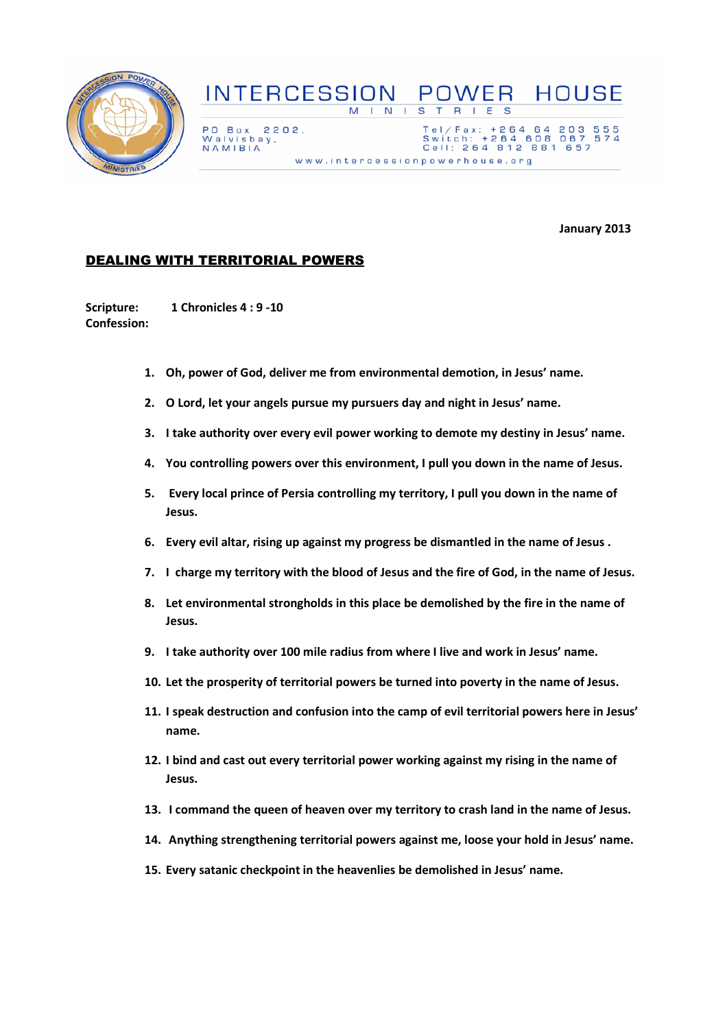

## **INTERCESSION POWER HOUSE**  $M + N +$  $\overline{\mathbf{s}}$  $T$  R  $E-S$  $\mathbf{L}$

PO Box 2202, Walvisbay,<br>NAMIBIA

Tel/Fax: +264 64 203<br>Switch: +264 608 067<br>Cell: 264 812 881 657 www.intercessionpowerhouse.org

January 2013

555<br>574

## DEALING WITH TERRITORIAL POWERS

Scripture: 1 Chronicles 4 : 9 -10 Confession:

- 1. Oh, power of God, deliver me from environmental demotion, in Jesus' name.
- 2. O Lord, let your angels pursue my pursuers day and night in Jesus' name.
- 3. I take authority over every evil power working to demote my destiny in Jesus' name.
- 4. You controlling powers over this environment, I pull you down in the name of Jesus.
- 5. Every local prince of Persia controlling my territory, I pull you down in the name of Jesus.
- 6. Every evil altar, rising up against my progress be dismantled in the name of Jesus .
- 7. I charge my territory with the blood of Jesus and the fire of God, in the name of Jesus.
- 8. Let environmental strongholds in this place be demolished by the fire in the name of Jesus.
- 9. I take authority over 100 mile radius from where I live and work in Jesus' name.
- 10. Let the prosperity of territorial powers be turned into poverty in the name of Jesus.
- 11. I speak destruction and confusion into the camp of evil territorial powers here in Jesus' name.
- 12. I bind and cast out every territorial power working against my rising in the name of Jesus.
- 13. I command the queen of heaven over my territory to crash land in the name of Jesus.
- 14. Anything strengthening territorial powers against me, loose your hold in Jesus' name.
- 15. Every satanic checkpoint in the heavenlies be demolished in Jesus' name.